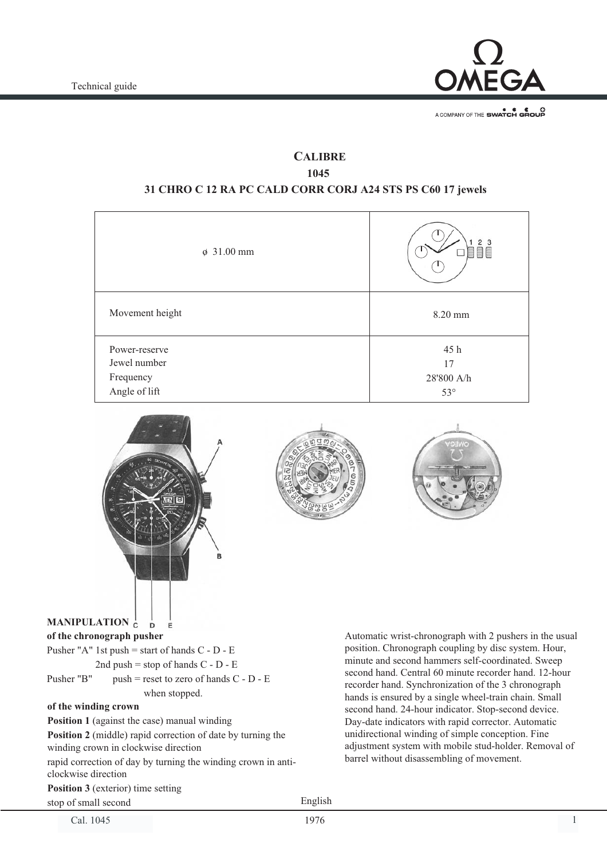

A COMPANY OF THE SWATCH GROUP

## **CALIBRE 1045**

### **31 CHRO C 12 RA PC CALD CORR CORJ A24 STS PS C60 17 jewels**

| 2 <sub>3</sub><br>10                   |
|----------------------------------------|
| 8.20 mm                                |
| 45 h<br>17<br>28'800 A/h<br>$53^\circ$ |
|                                        |







#### **MANIPULATION**  $\overline{D}$ **of the chronograph pusher**

| of the winding crown |                                                  |  |  |  |  |
|----------------------|--------------------------------------------------|--|--|--|--|
|                      | when stopped.                                    |  |  |  |  |
| Pusher "B"           | push = reset to zero of hands $C - D - E$        |  |  |  |  |
|                      | 2nd push = stop of hands $C - D - E$             |  |  |  |  |
|                      | Pusher "A" 1st push = start of hands $C - D - E$ |  |  |  |  |
|                      |                                                  |  |  |  |  |

E

**Position 1** (against the case) manual winding

**Position 2** (middle) rapid correction of date by turning the winding crown in clockwise direction

rapid correction of day by turning the winding crown in anticlockwise direction

**Position 3** (exterior) time setting

stop of small second

Cal. 1045 1976 1

English

1976

Automatic wrist-chronograph with 2 pushers in the usual position. Chronograph coupling by disc system. Hour, minute and second hammers self-coordinated. Sweep second hand. Central 60 minute recorder hand. 12-hour recorder hand. Synchronization of the 3 chronograph hands is ensured by a single wheel-train chain. Small second hand. 24-hour indicator. Stop-second device. Day-date indicators with rapid corrector. Automatic unidirectional winding of simple conception. Fine adjustment system with mobile stud-holder. Removal of barrel without disassembling of movement.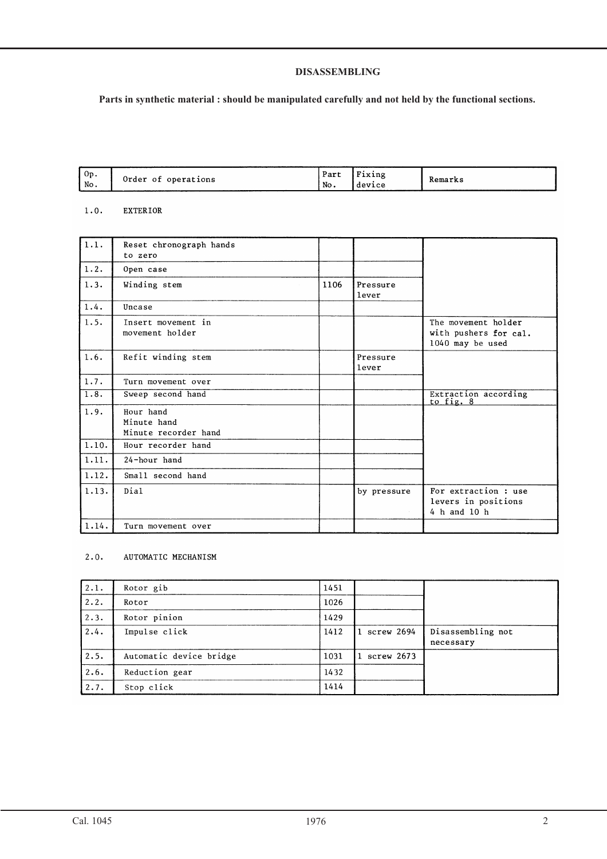#### **DISASSEMBLING**

## **Parts in synthetic material : should be manipulated carefully and not held by the functional sections.**

| $'$ Op. |                           | Part | lxing  |         |
|---------|---------------------------|------|--------|---------|
| No.     | operations<br>Order<br>οt | No.  | device | Remarks |

#### $1.0.$ **EXTERIOR**

| 1.1.               | Reset chronograph hands<br>to zero               |      |                   |                                                                  |
|--------------------|--------------------------------------------------|------|-------------------|------------------------------------------------------------------|
| 1.2.               | Open case                                        |      |                   |                                                                  |
| 1.3.               | Winding stem                                     | 1106 | Pressure<br>lever |                                                                  |
| 1.4.               | Uncase                                           |      |                   |                                                                  |
| 1.5.               | Insert movement in<br>movement holder            |      |                   | The movement holder<br>with pushers for cal.<br>1040 may be used |
| 1.6.               | Refit winding stem                               |      | Pressure<br>lever |                                                                  |
| 1.7.               | Turn movement over                               |      |                   |                                                                  |
| $\overline{1.8}$ . | Sweep second hand                                |      |                   | Extraction according<br>to fig. 8                                |
| 1.9.               | Hour hand<br>Minute hand<br>Minute recorder hand |      |                   |                                                                  |
| 1.10.              | Hour recorder hand                               |      |                   |                                                                  |
| 1.11.              | 24-hour hand                                     |      |                   |                                                                  |
| 1.12.              | Small second hand                                |      |                   |                                                                  |
| 1.13.              | Dial                                             |      | by pressure       | For extraction : use<br>levers in positions<br>4 h and 10 h      |
| 1.14.              | Turn movement over                               |      |                   |                                                                  |

#### $2.0.$ AUTOMATIC MECHANISM

| 2.1. | Rotor gib               | 1451 |            |                                |
|------|-------------------------|------|------------|--------------------------------|
| 2.2. | Rotor                   | 1026 |            |                                |
| 2.3. | Rotor pinion            | 1429 |            |                                |
| 2.4. | Impulse click           | 1412 | screw 2694 | Disassembling not<br>necessary |
| 2.5. | Automatic device bridge | 1031 | screw 2673 |                                |
| 2.6. | Reduction gear          | 1432 |            |                                |
| 2.7. | Stop click              | 1414 |            |                                |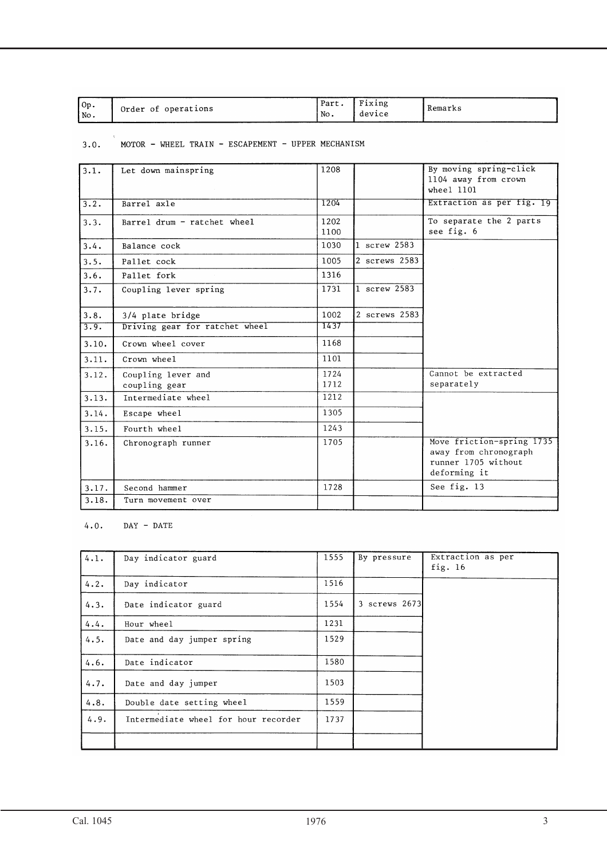| Fixing<br>Part<br>0p.<br>Order of operations<br>No.<br>No.<br>device | Kemarks |
|----------------------------------------------------------------------|---------|
|----------------------------------------------------------------------|---------|

# $3.0.$  MOTOR - WHEEL TRAIN - ESCAPEMENT - UPPER MECHANISM

| 3.1.  | Let down mainspring            | 1208 |               | By moving spring-click    |
|-------|--------------------------------|------|---------------|---------------------------|
|       |                                |      |               | 1104 away from crown      |
|       |                                |      |               | wheel 1101                |
| 3.2.  | Barrel axle                    | 1204 |               | Extraction as per fig. 19 |
| 3.3.  | Barrel drum - ratchet wheel    | 1202 |               | To separate the 2 parts   |
|       |                                | 1100 |               | see fig. 6                |
| 3.4.  | Balance cock                   | 1030 | 1 screw 2583  |                           |
| 3.5.  | Pallet cock                    | 1005 | 2 screws 2583 |                           |
| 3.6.  | Pallet fork                    | 1316 |               |                           |
| 3.7.  | Coupling lever spring          | 1731 | 1 screw 2583  |                           |
|       |                                |      |               |                           |
| 3.8.  | 3/4 plate bridge               | 1002 | 2 screws 2583 |                           |
| 3.9.  | Driving gear for ratchet wheel | 1437 |               |                           |
| 3.10. | Crown wheel cover              | 1168 |               |                           |
| 3.11. | Crown wheel                    | 1101 |               |                           |
| 3.12. | Coupling lever and             | 1724 |               | Cannot be extracted       |
|       | coupling gear                  | 1712 |               | separately                |
| 3.13. | Intermediate wheel             | 1212 |               |                           |
| 3.14. | Escape wheel                   | 1305 |               |                           |
| 3.15. | Fourth wheel                   | 1243 |               |                           |
| 3.16. | Chronograph runner             | 1705 |               | Move friction-spring 1735 |
|       |                                |      |               | away from chronograph     |
|       |                                |      |               | runner 1705 without       |
|       |                                |      |               | deforming it              |
| 3.17. | Second hammer                  | 1728 |               | See fig. 13               |
| 3.18. | Turn movement over             |      |               |                           |

### $4.0.$  DAY - DATE

| 4.1. | Day indicator guard                  | 1555 | By pressure   | Extraction as per<br>fig. $16$ |
|------|--------------------------------------|------|---------------|--------------------------------|
| 4.2. | Day indicator                        | 1516 |               |                                |
| 4.3. | Date indicator guard                 | 1554 | 3 screws 2673 |                                |
| 4.4. | Hour wheel                           | 1231 |               |                                |
| 4.5. | Date and day jumper spring           | 1529 |               |                                |
| 4.6. | Date indicator                       | 1580 |               |                                |
| 4.7. | Date and day jumper                  | 1503 |               |                                |
| 4.8. | Double date setting wheel            | 1559 |               |                                |
| 4.9. | Intermediate wheel for hour recorder | 1737 |               |                                |
|      |                                      |      |               |                                |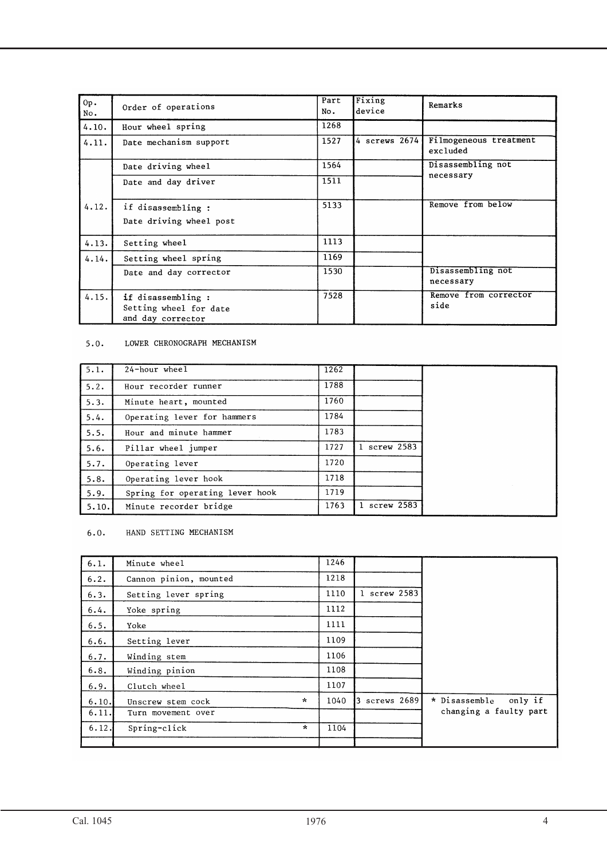| Op.<br>No. | Order of operations                                               | Part<br>No. | Fixing<br>device | Remarks                            |
|------------|-------------------------------------------------------------------|-------------|------------------|------------------------------------|
| 4.10.      | Hour wheel spring                                                 | 1268        |                  |                                    |
| 4.11.      | Date mechanism support                                            | 1527        | 4 screws 2674    | Filmogeneous treatment<br>excluded |
|            | Date driving wheel                                                | 1564        |                  | Disassembling not                  |
|            | Date and day driver                                               | 1511        |                  | necessary                          |
| 4.12.      | if disassembling :<br>Date driving wheel post                     | 5133        |                  | Remove from below                  |
| 4.13.      | Setting wheel                                                     | 1113        |                  |                                    |
| 4.14.      | Setting wheel spring                                              | 1169        |                  |                                    |
|            | Date and day corrector                                            | 1530        |                  | Disassembling not<br>necessary     |
| 4.15.      | if disassembling :<br>Setting wheel for date<br>and day corrector | 7528        |                  | Remove from corrector<br>side      |

#### 5.0. LOWER CHRONOGRAPH MECHANISM

| 5.1.  | $24$ -hour wheel                | 1262 |              |
|-------|---------------------------------|------|--------------|
| 5.2.  | Hour recorder runner            | 1788 |              |
| 5.3.  | Minute heart, mounted           | 1760 |              |
| 5.4.  | Operating lever for hammers     | 1784 |              |
| 5.5.  | Hour and minute hammer          | 1783 |              |
| 5.6.  | Pillar wheel jumper             | 1727 | 1 screw 2583 |
| 5.7.  | Operating lever                 | 1720 |              |
| 5.8.  | Operating lever hook            | 1718 |              |
| 5.9.  | Spring for operating lever hook | 1719 |              |
| 5.10. | Minute recorder bridge          | 1763 | 1 screw 2583 |

## 6.0. HAND SETTING MECHANISM

| 6.1.  | Minute wheel                 | 1246 |                  |                        |
|-------|------------------------------|------|------------------|------------------------|
| 6.2.  | Cannon pinion, mounted       | 1218 |                  |                        |
| 6.3.  | Setting lever spring         | 1110 | 1 screw 2583     |                        |
| 6.4.  | Yoke spring                  | 1112 |                  |                        |
| 6.5.  | Yoke                         | 1111 |                  |                        |
| 6.6.  | Setting lever                | 1109 |                  |                        |
| 6.7.  | Winding stem                 | 1106 |                  |                        |
| 6.8.  | Winding pinion               | 1108 |                  |                        |
| 6.9.  | Clutch wheel                 | 1107 |                  |                        |
| 6.10. | $\star$<br>Unscrew stem cock | 1040 | screws 2689<br>3 | * Disassemble only if  |
| 6.11. | Turn movement over           |      |                  | changing a faulty part |
| 6.12. | $\star$<br>Spring-click      | 1104 |                  |                        |
|       |                              |      |                  |                        |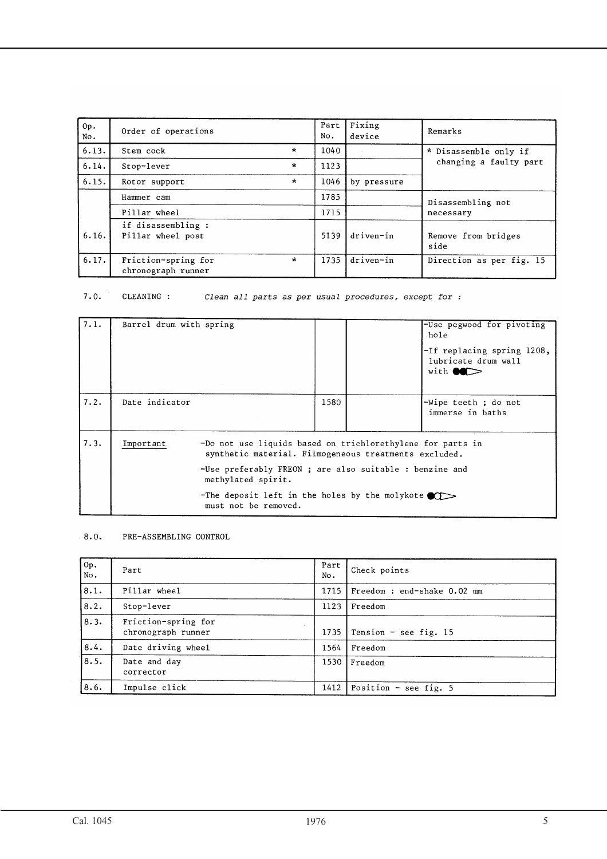| Op.<br>No. | Order of operations                       |         | Part<br>No. | Fixing<br>device | Remarks                     |
|------------|-------------------------------------------|---------|-------------|------------------|-----------------------------|
| 6.13.      | Stem cock                                 | $\star$ | 1040        |                  | * Disassemble only if       |
| 6.14.      | Stop-lever                                | $\star$ | 1123        |                  | changing a faulty part      |
| 6.15.      | Rotor support                             | $\star$ | 1046        | by pressure      |                             |
|            | Hammer cam                                |         | 1785        |                  | Disassembling not           |
|            | Pillar wheel                              |         | 1715        |                  | necessary                   |
| 6.16.      | if disassembling:<br>Pillar wheel post    |         | 5139        | driven-in        | Remove from bridges<br>side |
| 6.17.      | Friction-spring for<br>chronograph runner | $\star$ | 1735        | driven-in        | Direction as per fig. 15    |

7.0. CLEANING : Clean all parts as per usual procedures, except for :

| 7.1. | Barrel drum with spring |                                                                                                                                                                                                                                                                                          |      | -Use pegwood for pivoting<br>hole<br>-If replacing spring 1208,<br>lubricate drum wall<br>with $\bullet \bullet$ |
|------|-------------------------|------------------------------------------------------------------------------------------------------------------------------------------------------------------------------------------------------------------------------------------------------------------------------------------|------|------------------------------------------------------------------------------------------------------------------|
| 7.2. | Date indicator          |                                                                                                                                                                                                                                                                                          | 1580 | -Wipe teeth ; do not<br>immerse in baths                                                                         |
| 7.3. | Important               | -Do not use liquids based on trichlorethylene for parts in<br>synthetic material. Filmogeneous treatments excluded.<br>-Use preferably FREON ; are also suitable : benzine and<br>methylated spirit.<br>-The deposit left in the holes by the molykote $\bullet$<br>must not be removed. |      |                                                                                                                  |

#### $8.0.$ PRE-ASSEMBLING CONTROL

| $\overline{op.}$<br>No. | Part                                      | Part<br>No. | Check points                |
|-------------------------|-------------------------------------------|-------------|-----------------------------|
| 8.1.                    | Pillar wheel                              | 1715        | Freedom : end-shake 0.02 mm |
| 8.2.                    | Stop-lever                                | 1123        | Freedom                     |
| 8.3.                    | Friction-spring for<br>chronograph runner | 1735        | Tension - see fig. 15       |
| 8.4.                    | Date driving wheel                        | 1564        | Freedom                     |
| 8.5.                    | Date and day<br>corrector                 | 1530        | Freedom                     |
| 8.6.                    | Impulse click                             | 1412        | Position - see fig. $5$     |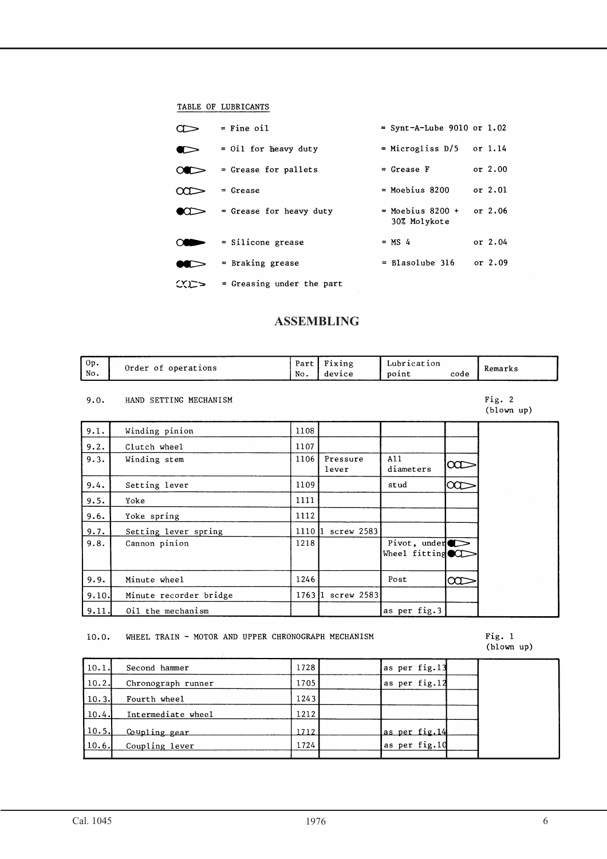#### TABLE OF LUBRICANTS

|              | $=$ Fine oil              | = Synt-A-Lube 9010 or $1.02$         |           |  |
|--------------|---------------------------|--------------------------------------|-----------|--|
|              | $=$ 0il for heavy duty    | = Microgliss D/5                     | or $1.14$ |  |
|              | = Grease for pallets      | $=$ Grease F                         | or 2.00   |  |
|              | = Grease                  | $=$ Moebius 8200                     | or 2.01   |  |
|              | = Grease for heavy duty   | $=$ Moebius 8200 $+$<br>30% Molykote | or $2.06$ |  |
|              | $=$ Silicone grease       | $= MS$ 4                             | or 2.04   |  |
|              | = Braking grease          | = Blasolube 316                      | or $2.09$ |  |
| $C$ $\simeq$ | = Greasing under the part |                                      |           |  |

## **ASSEMBLING**

| l Ор.<br>  No. | operations<br>Order of | D <sub>0</sub><br>ai (<br>No. | 'ıxıng<br>device | Lubrication<br>point | code | Remarks |
|----------------|------------------------|-------------------------------|------------------|----------------------|------|---------|
|----------------|------------------------|-------------------------------|------------------|----------------------|------|---------|

#### 9.0. HAND SETTING MECHANISM

Fig.  $2$  $(b)$ lown up)

| 9.1.  | Winding pinion         | 1108    |                   |                                            |          |
|-------|------------------------|---------|-------------------|--------------------------------------------|----------|
| 9.2.  | Clutch wheel           | 1107    |                   |                                            |          |
| 9.3.  | Winding stem           | 1106    | Pressure<br>lever | A11<br>diameters                           | $\infty$ |
| 9.4.  | Setting lever          | 1109    |                   | stud                                       | $\infty$ |
| 9.5.  | Yoke                   | 1111    |                   |                                            |          |
| 9.6.  | Yoke spring            | 1112    |                   |                                            |          |
| 9.7.  | Setting lever spring   | 1110 l1 | $screw$ 2583      |                                            |          |
| 9.8.  | Cannon pinion          | 1218    |                   | Pivot, under $\bullet$<br>Wheel fitting CO |          |
| 9.9.  | Minute wheel           | 1246    |                   | Post                                       | $\infty$ |
| 9.10. | Minute recorder bridge | 176311  | $screw$ 2583      |                                            |          |
| 9.11. | Oil the mechanism      |         |                   | as per fig.3                               |          |

#### 10.0. WHEEL TRAIN - MOTOR AND UPPER CHRONOGRAPH MECHANISM

# Fig. 1<br>(blown up)

| 10.1. | Second hammer      | 1728 | as per fig.13 |
|-------|--------------------|------|---------------|
| 10.2. | Chronograph runner | 1705 | as per fig.12 |
| 10.3. | Fourth wheel       | 1243 |               |
| 10.4. | Intermediate wheel | 1212 |               |
| 10.5. | Coupling gear      | 1712 | as per fig.14 |
| 10.6. | Coupling lever     | 1724 | as per fig.10 |
|       |                    |      |               |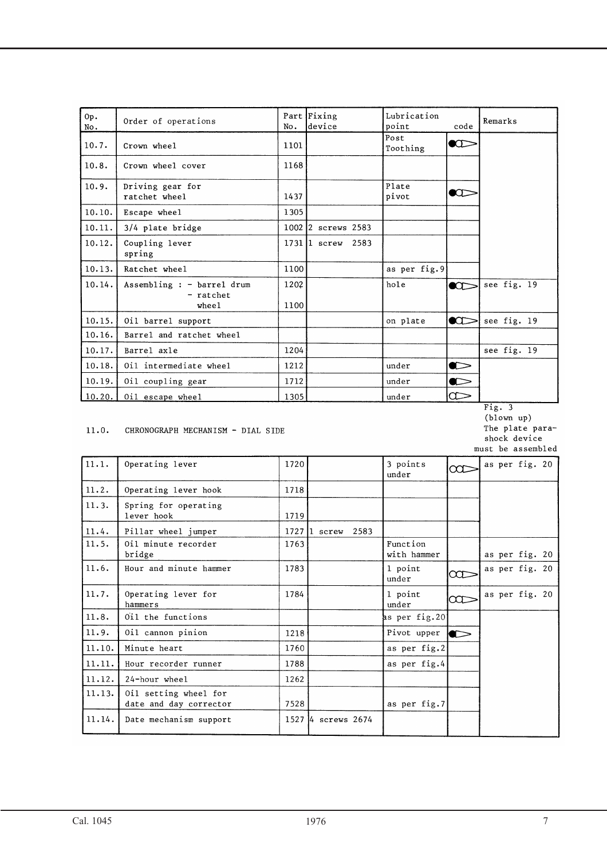| Op.<br>No. | Order of operations                              | No.          | Part Fixing<br>device | Lubrication<br>point | code            | Remarks     |
|------------|--------------------------------------------------|--------------|-----------------------|----------------------|-----------------|-------------|
| 10.7.      | Crown wheel                                      | 1101         |                       | Post<br>Toothing     | $\bullet$       |             |
| 10.8.      | Crown wheel cover                                | 1168         |                       |                      |                 |             |
| 10.9.      | Driving gear for<br>ratchet wheel                | 1437         |                       | Plate<br>pivot       | $\bullet$       |             |
| 10.10.     | Escape wheel                                     | 1305         |                       |                      |                 |             |
| 10.11.     | 3/4 plate bridge                                 |              | 1002 2 screws 2583    |                      |                 |             |
| 10.12.     | Coupling lever<br>spring                         |              | 1731 1 screw 2583     |                      |                 |             |
| 10.13.     | Ratchet wheel                                    | 1100         |                       | as per fig. 9        |                 |             |
| 10.14.     | Assembling : - barrel drum<br>- ratchet<br>wheel | 1202<br>1100 |                       | hole                 | $\bullet$       | see fig. 19 |
| 10.15.     | Oil barrel support                               |              |                       | on plate             | $\bullet$       | see fig. 19 |
| 10.16.     | Barrel and ratchet wheel                         |              |                       |                      |                 |             |
| 10.17.     | Barrel axle                                      | 1204         |                       |                      |                 | see fig. 19 |
| 10.18.     | Oil intermediate wheel                           | 1212         |                       | under                | $\bullet$       |             |
| 10.19.     | Oil coupling gear                                | 1712         |                       | under                | $\bullet$       |             |
|            | $10.20.$ 0i1 escape wheel                        | 1305         |                       | under                | $\:\!\! \infty$ |             |

#### $11.0.$ CHRONOGRAPH MECHANISM - DIAL SIDE

Date mechanism support



 $11.1.$ Operating lever 1720 3 points as per fig. 20  $rac{}{ }{ }$  $under$  $11.2.$ Operating lever hook 1718  $11.3.$ Spring for operating lever hook 1719 1727 1 screw 2583  $11.4.$ Pillar wheel jumper  $11.5.$ Function Oil minute recorder 1763 bridge with hammer as per fig. 20  $11.6.$ Hour and minute hammer 1783 1 point as per fig. 20  $rac{}{ }{ }$ under  $11.7.$ Operating lever for 1784 as per fig. 20 1 point  $\infty$ hammers under  $11.8.$ Oil the functions us per fig.20  $11.9.$ Oil cannon pinion 1218 Pivot upper  $\bullet$  $11.10.$ 1760 Minute heart as per fig.2  $11.11.$ Hour recorder runner 1788 as per fig.4  $11.12.$ 24-hour wheel 1262  $11.13.$ Oil setting wheel for 7528 as per fig.7 date and day corrector  $11.14.$ 1527 4 screws 2674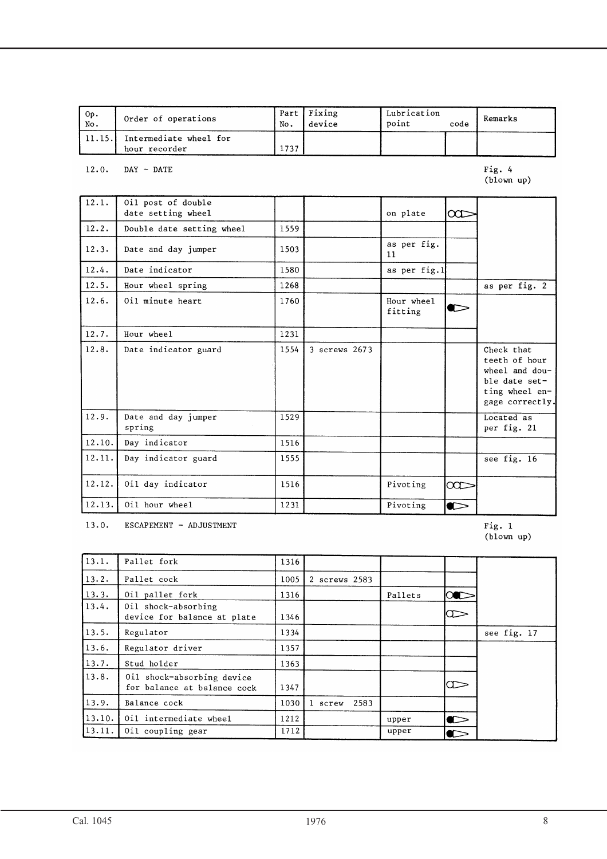| Op.<br>No. | Order of operations                     | Part<br>No. | Fixing<br>device | Lubrication<br>point | code | Remarks |
|------------|-----------------------------------------|-------------|------------------|----------------------|------|---------|
| 11.15.     | Intermediate wheel for<br>hour recorder | 1737        |                  |                      |      |         |

 $12.0.$  DAY - DATE

Fig. 4<br>(blown up)

| 12.1.  | Oil post of double<br>date setting wheel |      |               | on plate              | $\infty$  |                                                                                                     |
|--------|------------------------------------------|------|---------------|-----------------------|-----------|-----------------------------------------------------------------------------------------------------|
| 12.2.  | Double date setting wheel                | 1559 |               |                       |           |                                                                                                     |
| 12.3.  | Date and day jumper                      | 1503 |               | as per fig.<br>11     |           |                                                                                                     |
| 12.4.  | Date indicator                           | 1580 |               | as per fig.1          |           |                                                                                                     |
| 12.5.  | Hour wheel spring                        | 1268 |               |                       |           | as per fig. 2                                                                                       |
| 12.6.  | Oil minute heart                         | 1760 |               | Hour wheel<br>fitting | c         |                                                                                                     |
| 12.7.  | Hour wheel                               | 1231 |               |                       |           |                                                                                                     |
| 12.8.  | Date indicator guard                     | 1554 | 3 screws 2673 |                       |           | Check that<br>teeth of hour<br>wheel and dou-<br>ble date set-<br>ting wheel en-<br>gage correctly. |
| 12.9.  | Date and day jumper<br>spring            | 1529 |               |                       |           | Located as<br>per fig. 21                                                                           |
| 12.10. | Day indicator                            | 1516 |               |                       |           |                                                                                                     |
| 12.11. | Day indicator guard                      | 1555 |               |                       |           | see fig. 16                                                                                         |
| 12.12. | Oil day indicator                        | 1516 |               | Pivoting              | $\infty$  |                                                                                                     |
| 12.13. | Oil hour wheel                           | 1231 |               | Pivoting              | $\bullet$ |                                                                                                     |

13.0. ESCAPEMENT - ADJUSTMENT

Fig. 1<br>(blown up)

| $\sqrt{13.1}$ . | Pallet fork                                               | 1316 |                               |         |                       |             |
|-----------------|-----------------------------------------------------------|------|-------------------------------|---------|-----------------------|-------------|
| 13.2.           | Pallet cock                                               | 1005 | 2 screws 2583                 |         |                       |             |
| 13.3.           | Oil pallet fork                                           | 1316 |                               | Pallets | <b>IOC</b>            |             |
| 13.4.           | Oil shock-absorbing<br>device for balance at plate        | 1346 |                               |         | Œ                     |             |
| 13.5.           | Regulator                                                 | 1334 |                               |         |                       | see fig. 17 |
| 13.6.           | Regulator driver                                          | 1357 |                               |         |                       |             |
| 13.7.           | Stud holder                                               | 1363 |                               |         |                       |             |
| 13.8.           | Oil shock-absorbing device<br>for balance at balance cock | 1347 |                               |         | Œ                     |             |
| 13.9.           | Balance cock                                              | 1030 | 2583<br>$\mathbf{1}$<br>screw |         |                       |             |
| 13.10.          | Oil intermediate wheel                                    | 1212 |                               | upper   | $\blacktriangleright$ |             |
| 13.11.          | Oil coupling gear                                         | 1712 |                               | upper   | C                     |             |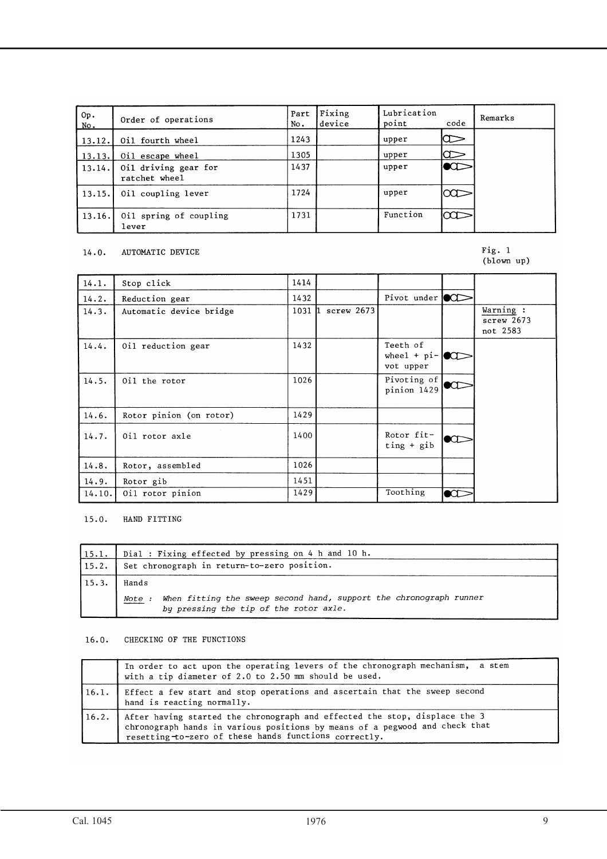| Op.<br>No. | Order of operations                   | Part<br>No. | Fixing<br>device | Lubrication<br>point | code      | Remarks |
|------------|---------------------------------------|-------------|------------------|----------------------|-----------|---------|
| 13.12.     | Oil fourth wheel                      | 1243        |                  | upper                | Œ         |         |
| 13.13.     | Oil escape wheel                      | 1305        |                  | upper                | Œ         |         |
| 13.14.     | Oil driving gear for<br>ratchet wheel | 1437        |                  | upper                | $\bullet$ |         |
| 13.15.     | Oil coupling lever                    | 1724        |                  | upper                | $\infty$  |         |
| 13.16.     | Oil spring of coupling<br>lever       | 1731        |                  | Function             | $\infty$  |         |

#### 14.0. AUTOMATIC DEVICE

# Fig. 1<br>(blown up)

| 14.1.  | Stop click              | 1414    |            |                                                 |           |                                     |
|--------|-------------------------|---------|------------|-------------------------------------------------|-----------|-------------------------------------|
| 14.2.  | Reduction gear          | 1432    |            | Pivot under $\circ$                             |           |                                     |
| 14.3.  | Automatic device bridge | 1031 ll | screw 2673 |                                                 |           | Warning :<br>screw 2673<br>not 2583 |
| 14.4.  | Oil reduction gear      | 1432    |            | Teeth of<br>wheel + $pi$ - $\circ$<br>vot upper |           |                                     |
| 14.5.  | Oil the rotor           | 1026    |            | Pivoting of<br>pinion 1429                      |           |                                     |
| 14.6.  | Rotor pinion (on rotor) | 1429    |            |                                                 |           |                                     |
| 14.7.  | Oil rotor axle          | 1400    |            | Rotor fit-<br>$ting + gib$                      | $\bullet$ |                                     |
| 14.8.  | Rotor, assembled        | 1026    |            |                                                 |           |                                     |
| 14.9.  | Rotor gib               | 1451    |            |                                                 |           |                                     |
| 14.10. | Oil rotor pinion        | 1429    |            | Toothing                                        | $\bullet$ |                                     |

15.0. HAND FITTING

| 15.1. | Dial : Fixing effected by pressing on 4 h and 10 h.                                                                    |
|-------|------------------------------------------------------------------------------------------------------------------------|
| 15.2. | Set chronograph in return-to-zero position.                                                                            |
| 15.3. | Hands                                                                                                                  |
|       | When fitting the sweep second hand, support the chronograph runner<br>Note :<br>by pressing the tip of the rotor axle. |

#### 16.0. CHECKING OF THE FUNCTIONS

|        | In order to act upon the operating levers of the chronograph mechanism, a stem<br>with a tip diameter of 2.0 to 2.50 mm should be used.                                                                            |
|--------|--------------------------------------------------------------------------------------------------------------------------------------------------------------------------------------------------------------------|
| (16.1. | Effect a few start and stop operations and ascertain that the sweep second<br>hand is reacting normally.                                                                                                           |
| 16.2.  | After having started the chronograph and effected the stop, displace the 3<br>chronograph hands in various positions by means of a pegwood and check that<br>resetting-to-zero of these hands functions correctly. |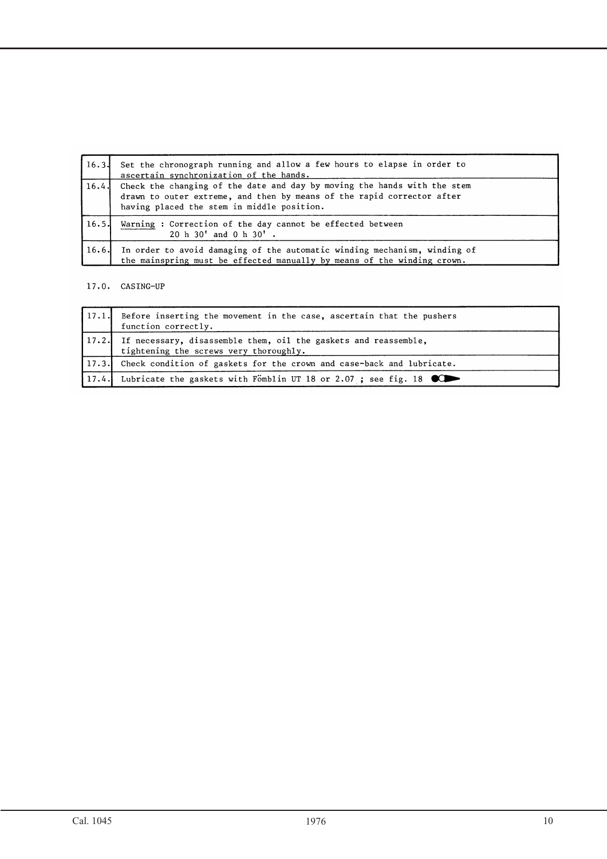|       | 16.3. Set the chronograph running and allow a few hours to elapse in order to<br>ascertain synchronization of the hands.                                                                               |
|-------|--------------------------------------------------------------------------------------------------------------------------------------------------------------------------------------------------------|
|       | 16.4. Check the changing of the date and day by moving the hands with the stem<br>drawn to outer extreme, and then by means of the rapid corrector after<br>having placed the stem in middle position. |
| 16.5. | Warning: Correction of the day cannot be effected between<br>20 h 30' and 0 h 30' .                                                                                                                    |
| 16.6. | In order to avoid damaging of the automatic winding mechanism, winding of<br>the mainspring must be effected manually by means of the winding crown.                                                   |

## 17.0. CASING-UP

| 17.1. Before inserting the movement in the case, ascertain that the pushers<br>function correctly.              |
|-----------------------------------------------------------------------------------------------------------------|
| 17.2. If necessary, disassemble them, oil the gaskets and reassemble,<br>tightening the screws very thoroughly. |
| 17.3. Check condition of gaskets for the crown and case-back and lubricate.                                     |
| 17.4. Lubricate the gaskets with Fömblin UT 18 or 2.07; see fig. 18                                             |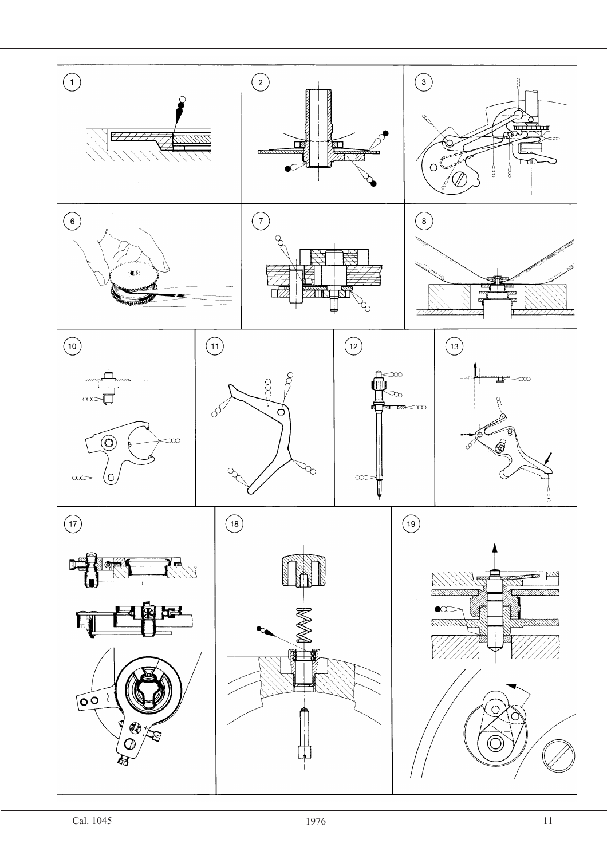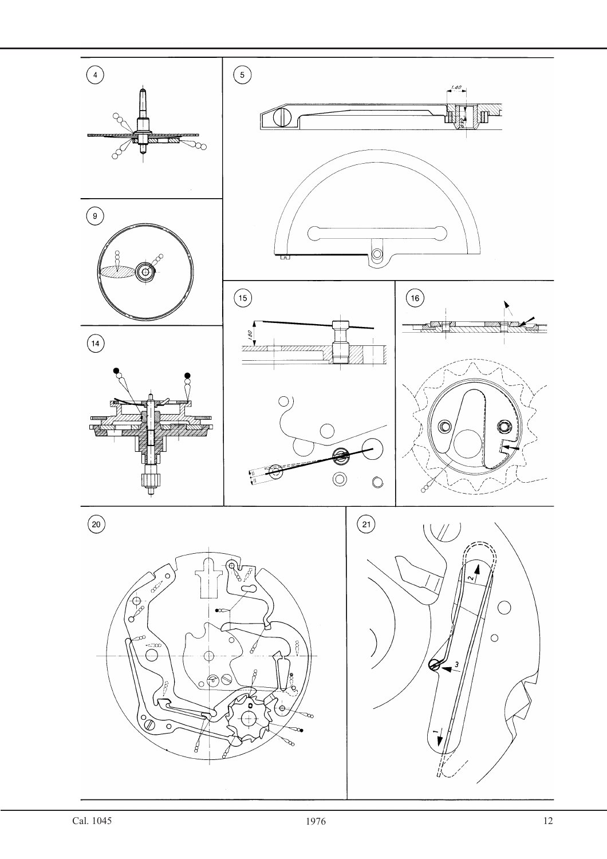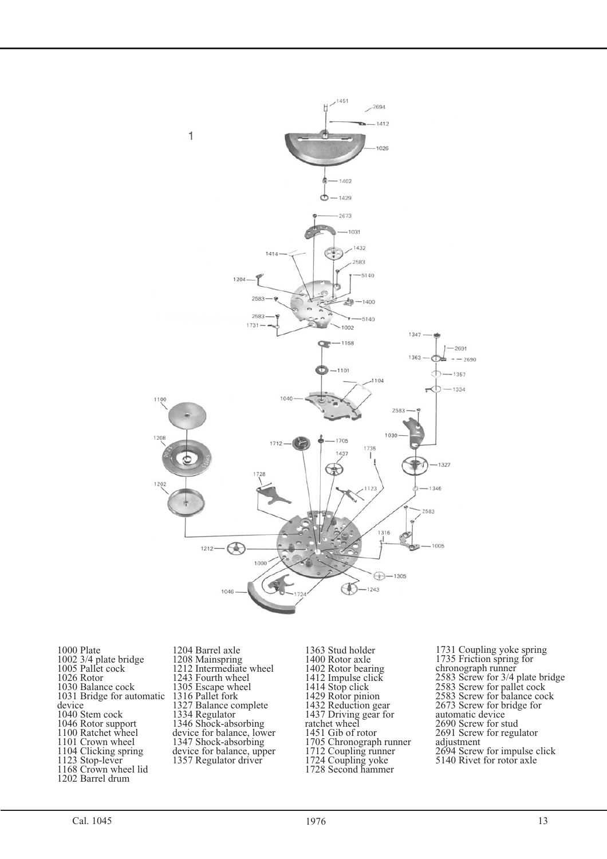![](_page_12_Figure_0.jpeg)

1000 Plate 1002 3/4 plate bridge 1005 Pallet cock 1026 Rotor 1030 Balance cock 1031 Bridge for automatic device 1040 Stem cock 1046 Rotor support 1100 Ratchet wheel 1101 Crown wheel 1104 Clicking spring 1123 Stop-lever 1168 Crown wheel lid 1202 Barrel drum

1204 Barrel axle 1208 Mainspring 1212 Intermediate wheel 1243 Fourth wheel 1305 Escape wheel 1316 Pallet fork 1327 Balance complete 1334 Regulator 1346 Shock-absorbing device for balance, lower 1347 Shock-absorbing device for balance, upper 1357 Regulator driver

1363 Stud holder 1400 Rotor axle 1402 Rotor bearing 1412 Impulse click 1414 Stop click 1429 Rotor pinion 1432 Reduction gear 1437 Driving gear for ratchet wheel 1451 Gib of rotor 1705 Chronograph runner 1712 Coupling runner 1724 Coupling yoke 1728 Second hammer

1731 Coupling yoke spring 1735 Friction spring for chronograph runner 2583 Screw for 3/4 plate bridge 2583 Screw for pallet cock 2583 Screw for balance cock 2673 Screw for bridge for automatic device 2690 Screw for stud 2691 Screw for regulator adjustment 2694 Screw for impulse click 5140 Rivet for rotor axle